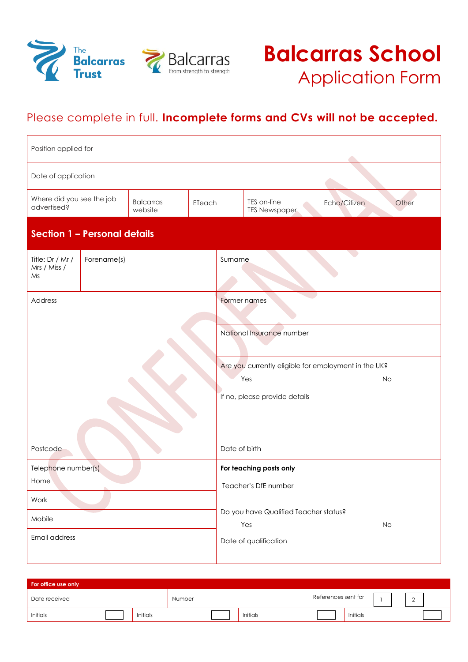



# Please complete in full. **Incomplete forms and CVs will not be accepted.**

| Position applied for                                                              |                     |  |                                                                                                           |              |                       |  |  |
|-----------------------------------------------------------------------------------|---------------------|--|-----------------------------------------------------------------------------------------------------------|--------------|-----------------------|--|--|
|                                                                                   | Date of application |  |                                                                                                           |              |                       |  |  |
| Where did you see the job<br><b>Balcarras</b><br>ETeach<br>advertised?<br>website |                     |  | TES on-line<br><b>TES Newspaper</b>                                                                       |              | Echo/Citizen<br>Other |  |  |
| Section 1 - Personal details                                                      |                     |  |                                                                                                           |              |                       |  |  |
| Title: Dr / Mr /<br>Forename(s)<br>Mrs / Miss /<br>Ms                             |                     |  | Surname                                                                                                   |              |                       |  |  |
| Address                                                                           |                     |  |                                                                                                           | Former names |                       |  |  |
|                                                                                   |                     |  | National Insurance number                                                                                 |              |                       |  |  |
|                                                                                   |                     |  | Are you currently eligible for employment in the UK?<br>Yes<br><b>No</b><br>If no, please provide details |              |                       |  |  |
| Postcode                                                                          |                     |  | Date of birth                                                                                             |              |                       |  |  |
| Telephone number(s)<br>Home                                                       |                     |  | For teaching posts only<br>Teacher's DfE number                                                           |              |                       |  |  |
| Work                                                                              |                     |  | Do you have Qualified Teacher status?                                                                     |              |                       |  |  |
| Mobile<br>Email address                                                           |                     |  | Yes<br>No<br>Date of qualification                                                                        |              |                       |  |  |

| For office use only |                 |        |                 |                     |          |          |
|---------------------|-----------------|--------|-----------------|---------------------|----------|----------|
| Date received       |                 | Number |                 | References sent for |          | <u>_</u> |
| Initials            | <b>Initials</b> |        | <b>Initials</b> |                     | Initials |          |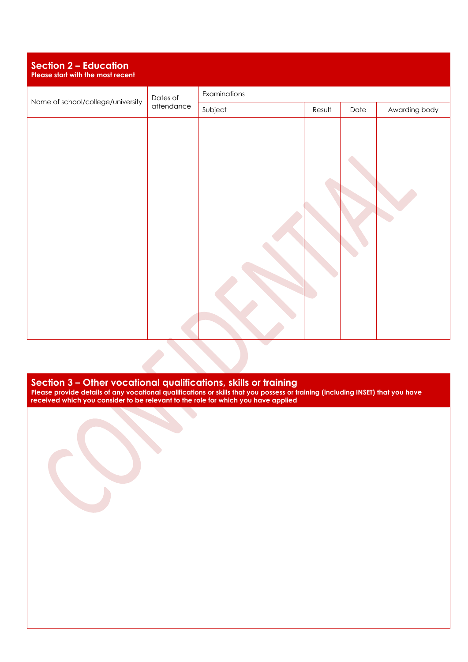| <b>Section 2 - Education</b><br>Please start with the most recent |            |              |        |      |               |  |
|-------------------------------------------------------------------|------------|--------------|--------|------|---------------|--|
| Name of school/college/university                                 | Dates of   | Examinations |        |      |               |  |
|                                                                   | attendance | Subject      | Result | Date | Awarding body |  |
|                                                                   |            |              |        |      |               |  |

**Section 3 – Other vocational qualifications, skills or training Please provide details of any vocational qualifications or skills that you possess or training (including INSET) that you have received which you consider to be relevant to the role for which you have applied**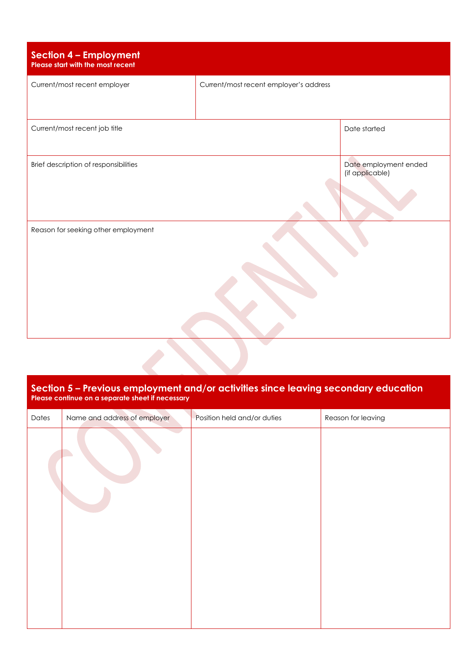| <b>Section 4 - Employment</b><br>Please start with the most recent |                                        |                       |
|--------------------------------------------------------------------|----------------------------------------|-----------------------|
| Current/most recent employer                                       | Current/most recent employer's address |                       |
| Current/most recent job title                                      | Date started                           |                       |
| Brief description of responsibilities                              | (if applicable)                        | Date employment ended |
| Reason for seeking other employment                                |                                        |                       |

### **Section 5 – Previous employment and/or activities since leaving secondary education Please continue on a separate sheet if necessary**

 $\overline{\phantom{a}}$ 

| Dates | Name and address of employer | Position held and/or duties | Reason for leaving |
|-------|------------------------------|-----------------------------|--------------------|
|       |                              |                             |                    |
|       |                              |                             |                    |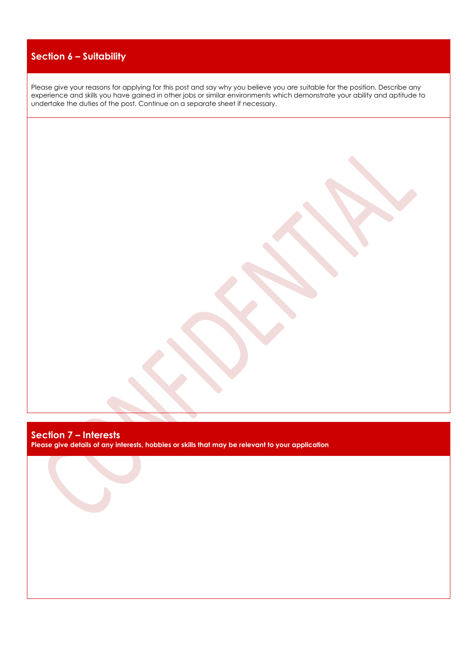# **Section 6 – Suitability**

Please give your reasons for applying for this post and say why you believe you are suitable for the position. Describe any experience and skills you have gained in other jobs or similar environments which demonstrate your ability and aptitude to undertake the duties of the post. Continue on a separate sheet if necessary.

# **Section 7 – Interests**

**Please give details of any interests, hobbies or skills that may be relevant to your application**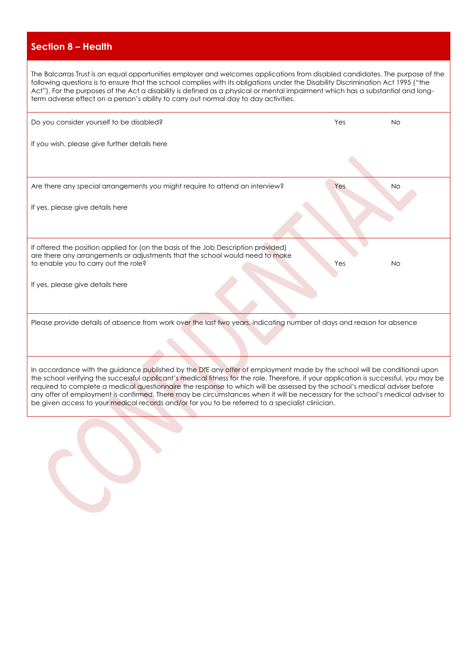# **Section 8 – Health**

The Balcarras Trust is an equal opportunities employer and welcomes applications from disabled candidates. The purpose of the following questions is to ensure that the school complies with its obligations under the Disability Discrimination Act 1995 ("the Act"). For the purposes of the Act a disability is defined as a physical or mental impairment which has a substantial and longterm adverse effect on a person's ability to carry out normal day to day activities.

| Do you consider yourself to be disabled?                                                                                                                                                                   | Yes | <b>No</b> |
|------------------------------------------------------------------------------------------------------------------------------------------------------------------------------------------------------------|-----|-----------|
| If you wish, please give further details here                                                                                                                                                              |     |           |
|                                                                                                                                                                                                            |     |           |
| Are there any special arrangements you might require to attend an interview?                                                                                                                               | Yes | <b>No</b> |
| If yes, please give details here                                                                                                                                                                           |     |           |
|                                                                                                                                                                                                            |     |           |
| If offered the position applied for (on the basis of the Job Description provided)<br>are there any arrangements or adjustments that the school would need to make<br>to enable you to carry out the role? | Yes | <b>No</b> |
| If yes, please give details here                                                                                                                                                                           |     |           |
|                                                                                                                                                                                                            |     |           |
| Please provide details of absence from work over the last two years, indicating number of days and reason for absence                                                                                      |     |           |
|                                                                                                                                                                                                            |     |           |
|                                                                                                                                                                                                            |     |           |

In accordance with the guidance published by the DfE any offer of employment made by the school will be conditional upon the school verifying the successful applicant's medical fitness for the role. Therefore, if your application is successful, you may be required to complete a medical questionnaire the response to which will be assessed by the school's medical adviser before any offer of employment is confirmed. There may be circumstances when it will be necessary for the school's medical adviser to be given access to your medical records and/or for you to be referred to a specialist clinician.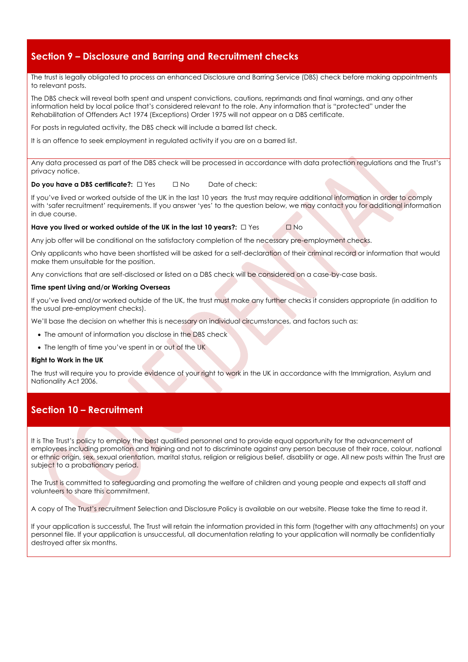# **Section 9 – Disclosure and Barring and Recruitment checks**

The trust is legally obligated to process an enhanced Disclosure and Barring Service (DBS) check before making appointments to relevant posts.

The DBS check will reveal both spent and unspent convictions, cautions, reprimands and final warnings, and any other information held by local police that's considered relevant to the role. Any information that is "protected" under the Rehabilitation of Offenders Act 1974 (Exceptions) Order 1975 will not appear on a DBS certificate.

For posts in regulated activity, the DBS check will include a barred list check.

It is an offence to seek employment in regulated activity if you are on a barred list.

Any data processed as part of the DBS check will be processed in accordance with data protection regulations and the Trust's privacy notice.

#### **Do you have a DBS certificate?:** □ Yes □ No Date of check:

If you've lived or worked outside of the UK in the last 10 years the trust may require additional information in order to comply with 'safer recruitment' requirements. If you answer 'yes' to the question below, we may contact you for additional information in due course.

#### Have you lived or worked outside of the UK in the last 10 years?: □ Yes **□ No**

Any job offer will be conditional on the satisfactory completion of the necessary pre-employment checks.

Only applicants who have been shortlisted will be asked for a self-declaration of their criminal record or information that would make them unsuitable for the position.

Any convictions that are self-disclosed or listed on a DBS check will be considered on a case-by-case basis.

#### **Time spent Living and/or Working Overseas**

If you've lived and/or worked outside of the UK, the trust must make any further checks it considers appropriate (in addition to the usual pre-employment checks).

We'll base the decision on whether this is necessary on individual circumstances, and factors such as:

- The amount of information you disclose in the DBS check
- The length of time you've spent in or out of the UK

#### **Right to Work in the UK**

The trust will require you to provide evidence of your right to work in the UK in accordance with the Immigration, Asylum and Nationality Act 2006.

# **Section 10 – Recruitment**

It is The Trust's policy to employ the best qualified personnel and to provide equal opportunity for the advancement of employees including promotion and training and not to discriminate against any person because of their race, colour, national or ethnic origin, sex, sexual orientation, marital status, religion or religious belief, disability or age. All new posts within The Trust are subject to a probationary period.

The Trust is committed to safeguarding and promoting the welfare of children and young people and expects all staff and volunteers to share this commitment.

A copy of The Trust's recruitment Selection and Disclosure Policy is available on our website. Please take the time to read it.

If your application is successful, The Trust will retain the information provided in this form (together with any attachments) on your personnel file. If your application is unsuccessful, all documentation relating to your application will normally be confidentially destroyed after six months.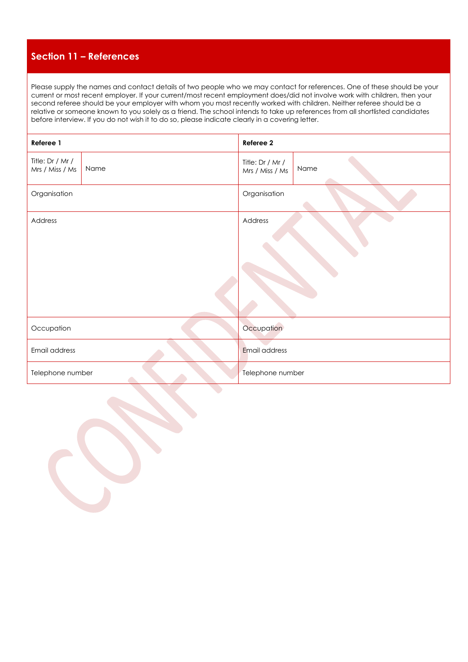## **Section 11 – References**

Please supply the names and contact details of two people who we may contact for references. One of these should be your current or most recent employer. If your current/most recent employment does/did not involve work with children, then your second referee should be your employer with whom you most recently worked with children. Neither referee should be a relative or someone known to you solely as a friend. The school intends to take up references from all shortlisted candidates before interview. If you do not wish it to do so, please indicate clearly in a covering letter.

| Referee 1                           |      | Referee 2                           |      |  |  |
|-------------------------------------|------|-------------------------------------|------|--|--|
| Title: Dr / Mr /<br>Mrs / Miss / Ms | Name | Title: Dr / Mr /<br>Mrs / Miss / Ms | Name |  |  |
| Organisation                        |      | Organisation                        |      |  |  |
| Address                             |      | Address                             |      |  |  |
|                                     |      |                                     |      |  |  |
| Occupation                          |      | Occupation                          |      |  |  |
| Email address                       |      | Email address                       |      |  |  |
| Telephone number                    |      | Telephone number                    |      |  |  |